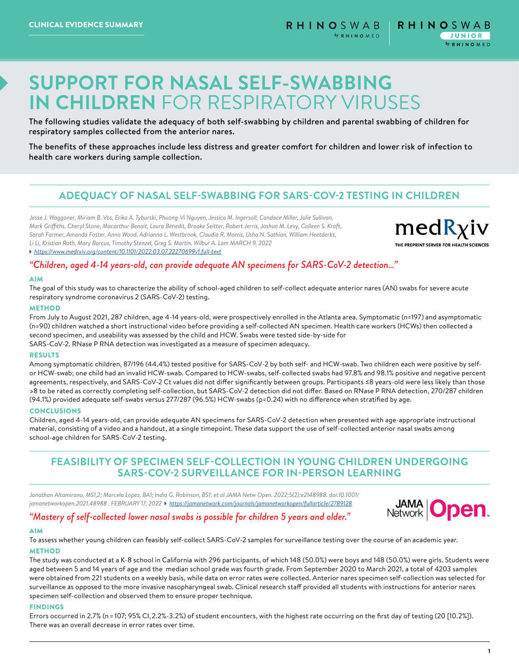# **SUPPORT FOR NASAL SELF-SWABBING IN CHILDREN** FOR RESPIRATORY VIRUSES

The following studies validate the adequacy of both self-swabbing by children and parental swabbing of children for respiratory samples collected from the anterior nares.

The benefits of these approaches include less distress and greater comfort for children and lower risk of infection to health care workers during sample collection.

# **ADEQUACY OF NASAL SELF-SWABBING FOR SARS-COV-2 TESTING IN CHILDREN**

*Jesse J. Waggoner, Miriam B. Vos, Erika A. Tyburski, Phuong-Vi Nguyen, Jessica M. Ingersoll, Candace Miller, Julie Sullivan, Mark Griffiths, Cheryl Stone, Macarthur Benoit, Laura Benedit, Brooke Seitter, Robert Jerris, Joshua M. Levy, Colleen S. Kraft, Sarah Farmer, Amanda Foster, Anna Wood, Adrianna L. Westbrook, Claudia R. Morris, Usha N. Sathian, William Heetderks, Li Li, Kristian Roth, Mary Barcus, Timothy Stenzel, Greg S. Martin, Wilbur A. Lam MARCH 9, 2022 <https://www.medrxiv.org/content/10.1101/2022.03.07.22270699v1.full-text>*



## *"Children, aged 4-14 years-old, can provide adequate AN specimens for SARS-CoV-2 detection…"*

## AIM

The goal of this study was to characterize the ability of school-aged children to self-collect adequate anterior nares (AN) swabs for severe acute respiratory syndrome coronavirus 2 (SARS-CoV-2) testing.

## **METHOD**

From July to August 2021, 287 children, age 4-14 years-old, were prospectively enrolled in the Atlanta area. Symptomatic (n=197) and asymptomatic (n=90) children watched a short instructional video before providing a self-collected AN specimen. Health care workers (HCWs) then collected a second specimen, and useability was assessed by the child and HCW. Swabs were tested side-by-side for SARS-CoV-2. RNase P RNA detection was investigated as a measure of specimen adequacy.

## RESULTS

Among symptomatic children, 87/196 (44.4%) tested positive for SARS-CoV-2 by both self- and HCW-swab. Two children each were positive by selfor HCW-swab; one child had an invalid HCW-swab. Compared to HCW-swabs, self-collected swabs had 97.8% and 98.1% positive and negative percent agreements, respectively, and SARS-CoV-2 Ct values did not differ significantly between groups. Participants ≤8 years-old were less likely than those >8 to be rated as correctly completing self-collection, but SARS-CoV-2 detection did not differ. Based on RNase P RNA detection, 270/287 children (94.1%) provided adequate self-swabs versus 277/287 (96.5%) HCW-swabs (p=0.24) with no difference when stratified by age.

## CONCLUSIONS

Children, aged 4-14 years-old, can provide adequate AN specimens for SARS-CoV-2 detection when presented with age-appropriate instructional material, consisting of a video and a handout, at a single timepoint. These data support the use of self-collected anterior nasal swabs among school-age children for SARS-CoV-2 testing.

## **FEASIBILITY OF SPECIMEN SELF-COLLECTION IN YOUNG CHILDREN UNDERGOING SARS-COV-2 SURVEILLANCE FOR IN-PERSON LEARNING**

*Jonathan Altamirano, MS1,2; Marcela Lopez, BA1; India G. Robinson, BS1; et al JAMA Netw Open. 2022;5(2):e2148988. doi:10.1001/ jamanetworkopen.2021.48988 . FEBRUARY 17, 2022 <https://jamanetwork.com/journals/jamanetworkopen/fullarticle/2789128>*

*"Mastery of self-collected lower nasal swabs is possible for children 5 years and older."*



## AIM

To assess whether young children can feasibly self-collect SARS-CoV-2 samples for surveillance testing over the course of an academic year. **METHOD** 

The study was conducted at a K-8 school in California with 296 participants, of which 148 (50.0%) were boys and 148 (50.0%) were girls. Students were aged between 5 and 14 years of age and the median school grade was fourth grade. From September 2020 to March 2021, a total of 4203 samples were obtained from 221 students on a weekly basis, while data on error rates were collected. Anterior nares specimen self-collection was selected for surveillance as opposed to the more invasive nasopharyngeal swab. Clinical research staff provided all students with instructions for anterior nares specimen self-collection and observed them to ensure proper technique.

## FINDINGS

Errors occurred in 2.7% (n = 107; 95% CI, 2.2%-3.2%) of student encounters, with the highest rate occurring on the first day of testing (20 [10.2%]). There was an overall decrease in error rates over time.